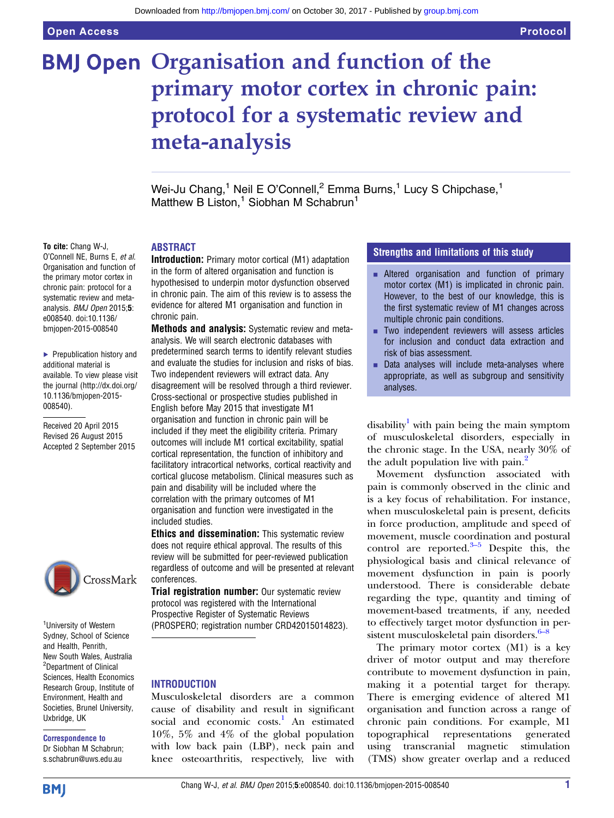# **BMJ Open Organisation and function of the** primary motor cortex in chronic pain: protocol for a systematic review and meta-analysis

Wei-Ju Chang,<sup>1</sup> Neil E O'Connell,<sup>2</sup> Emma Burns,<sup>1</sup> Lucy S Chipchase,<sup>1</sup> Matthew B Liston,<sup>1</sup> Siobhan M Schabrun<sup>1</sup>

#### To cite: Chang W-J,

O'Connell NE, Burns E, et al. Organisation and function of the primary motor cortex in chronic pain: protocol for a systematic review and metaanalysis. BMJ Open 2015;5: e008540. doi:10.1136/ bmjopen-2015-008540

▶ Prepublication history and additional material is available. To view please visit the journal [\(http://dx.doi.org/](http://dx.doi.org/10.1136/bmjopen-2015-008540) [10.1136/bmjopen-2015-](http://dx.doi.org/10.1136/bmjopen-2015-008540) [008540\)](http://dx.doi.org/10.1136/bmjopen-2015-008540).

Received 20 April 2015 Revised 26 August 2015 Accepted 2 September 2015



<sup>1</sup>University of Western Sydney, School of Science and Health, Penrith, New South Wales, Australia <sup>2</sup>Department of Clinical Sciences, Health Economics Research Group, Institute of Environment, Health and Societies, Brunel University, Uxbridge, UK

## Correspondence to

Dr Siobhan M Schabrun; s.schabrun@uws.edu.au

#### ABSTRACT

Introduction: Primary motor cortical (M1) adaptation in the form of altered organisation and function is hypothesised to underpin motor dysfunction observed in chronic pain. The aim of this review is to assess the evidence for altered M1 organisation and function in chronic pain.

Methods and analysis: Systematic review and metaanalysis. We will search electronic databases with predetermined search terms to identify relevant studies and evaluate the studies for inclusion and risks of bias. Two independent reviewers will extract data. Any disagreement will be resolved through a third reviewer. Cross-sectional or prospective studies published in English before May 2015 that investigate M1 organisation and function in chronic pain will be included if they meet the eligibility criteria. Primary outcomes will include M1 cortical excitability, spatial cortical representation, the function of inhibitory and facilitatory intracortical networks, cortical reactivity and cortical glucose metabolism. Clinical measures such as pain and disability will be included where the correlation with the primary outcomes of M1 organisation and function were investigated in the included studies.

**Ethics and dissemination:** This systematic review does not require ethical approval. The results of this review will be submitted for peer-reviewed publication regardless of outcome and will be presented at relevant conferences.

**Trial registration number:** Our systematic review protocol was registered with the International Prospective Register of Systematic Reviews (PROSPERO; registration number CRD42015014823).

#### **INTRODUCTION**

Musculoskeletal disorders are a common cause of disability and result in significant social and economic costs.<sup>[1](#page-3-0)</sup> An estimated 10%, 5% and 4% of the global population with low back pain (LBP), neck pain and knee osteoarthritis, respectively, live with

#### Strengths and limitations of this study

- **EXECUTE:** Altered organisation and function of primary motor cortex (M1) is implicated in chronic pain. However, to the best of our knowledge, this is the first systematic review of M1 changes across multiple chronic pain conditions.
- **EXECUTE:** Two independent reviewers will assess articles for inclusion and conduct data extraction and risk of bias assessment.
- $\blacksquare$  Data analyses will include meta-analyses where appropriate, as well as subgroup and sensitivity analyses.

disability<sup>[1](#page-3-0)</sup> with pain being the main symptom of musculoskeletal disorders, especially in the chronic stage. In the USA, nearly 30% of the adult population live with pain.<sup>[2](#page-3-0)</sup>

Movement dysfunction associated with pain is commonly observed in the clinic and is a key focus of rehabilitation. For instance, when musculoskeletal pain is present, deficits in force production, amplitude and speed of movement, muscle coordination and postural control are reported. $3-5$  Despite this, the physiological basis and clinical relevance of movement dysfunction in pain is poorly understood. There is considerable debate regarding the type, quantity and timing of movement-based treatments, if any, needed to effectively target motor dysfunction in per-sistent musculoskeletal pain disorders.<sup>6[–](#page-3-0)8</sup>

The primary motor cortex (M1) is a key driver of motor output and may therefore contribute to movement dysfunction in pain, making it a potential target for therapy. There is emerging evidence of altered M1 organisation and function across a range of chronic pain conditions. For example, M1 topographical representations generated using transcranial magnetic stimulation (TMS) show greater overlap and a reduced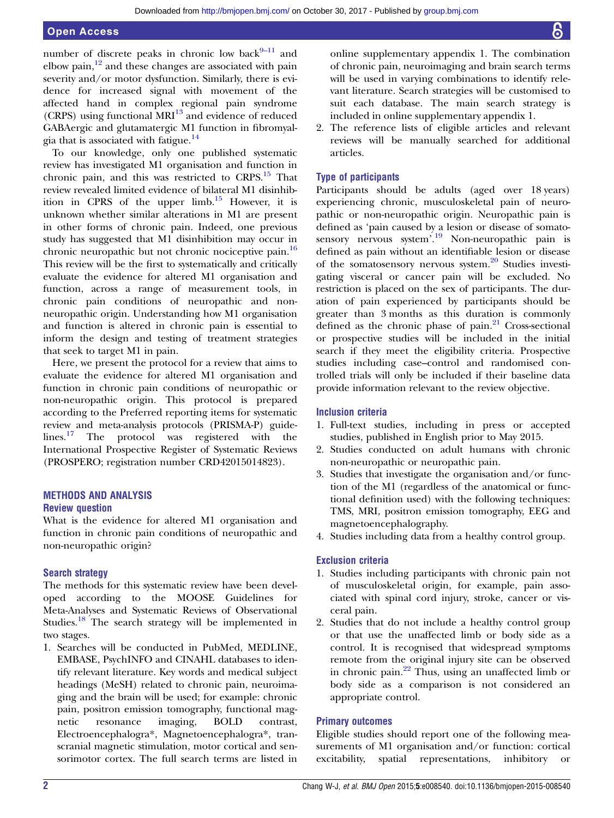#### Open Access

number of discrete peaks in chronic low back $8-11$  $8-11$  and elbow pain, $\frac{12}{12}$  $\frac{12}{12}$  $\frac{12}{12}$  and these changes are associated with pain severity and/or motor dysfunction. Similarly, there is evidence for increased signal with movement of the affected hand in complex regional pain syndrome (CRPS) using functional MRI<sup>[13](#page-3-0)</sup> and evidence of reduced GABAergic and glutamatergic M1 function in fibromyalgia that is associated with fatigue.[14](#page-3-0)

To our knowledge, only one published systematic review has investigated M1 organisation and function in chronic pain, and this was restricted to  $CRPS$ .<sup>[15](#page-3-0)</sup> That review revealed limited evidence of bilateral M1 disinhibition in CPRS of the upper  $limb.<sup>15</sup>$  $limb.<sup>15</sup>$  $limb.<sup>15</sup>$  However, it is unknown whether similar alterations in M1 are present in other forms of chronic pain. Indeed, one previous study has suggested that M1 disinhibition may occur in chronic neuropathic but not chronic nociceptive pain.<sup>[16](#page-3-0)</sup> This review will be the first to systematically and critically evaluate the evidence for altered M1 organisation and function, across a range of measurement tools, in chronic pain conditions of neuropathic and nonneuropathic origin. Understanding how M1 organisation and function is altered in chronic pain is essential to inform the design and testing of treatment strategies that seek to target M1 in pain.

Here, we present the protocol for a review that aims to evaluate the evidence for altered M1 organisation and function in chronic pain conditions of neuropathic or non-neuropathic origin. This protocol is prepared according to the Preferred reporting items for systematic review and meta-analysis protocols (PRISMA-P) guidelines.[17](#page-3-0) The protocol was registered with the International Prospective Register of Systematic Reviews (PROSPERO; registration number CRD42015014823).

## METHODS AND ANALYSIS

#### Review question

What is the evidence for altered M1 organisation and function in chronic pain conditions of neuropathic and non-neuropathic origin?

#### Search strategy

The methods for this systematic review have been developed according to the MOOSE Guidelines for Meta-Analyses and Systematic Reviews of Observational Studies.<sup>[18](#page-3-0)</sup> The search strategy will be implemented in two stages.

1. Searches will be conducted in PubMed, MEDLINE, EMBASE, PsychINFO and CINAHL databases to identify relevant literature. Key words and medical subject headings (MeSH) related to chronic pain, neuroimaging and the brain will be used; for example: chronic pain, positron emission tomography, functional magnetic resonance imaging, BOLD contrast, Electroencephalogra\*, Magnetoencephalogra\*, transcranial magnetic stimulation, motor cortical and sensorimotor cortex. The full search terms are listed in

online supplementary appendix 1. The combination of chronic pain, neuroimaging and brain search terms will be used in varying combinations to identify relevant literature. Search strategies will be customised to suit each database. The main search strategy is included in online supplementary appendix 1.

2. The reference lists of eligible articles and relevant reviews will be manually searched for additional articles.

#### Type of participants

Participants should be adults (aged over 18 years) experiencing chronic, musculoskeletal pain of neuropathic or non-neuropathic origin. Neuropathic pain is defined as 'pain caused by a lesion or disease of somato-sensory nervous system<sup>'.[19](#page-3-0)</sup> Non-neuropathic pain is defined as pain without an identifiable lesion or disease of the somatosensory nervous system. $20$  Studies investigating visceral or cancer pain will be excluded. No restriction is placed on the sex of participants. The duration of pain experienced by participants should be greater than 3 months as this duration is commonly defined as the chronic phase of pain. $21$  Cross-sectional or prospective studies will be included in the initial search if they meet the eligibility criteria. Prospective studies including case–control and randomised controlled trials will only be included if their baseline data provide information relevant to the review objective.

#### Inclusion criteria

- 1. Full-text studies, including in press or accepted studies, published in English prior to May 2015.
- 2. Studies conducted on adult humans with chronic non-neuropathic or neuropathic pain.
- 3. Studies that investigate the organisation and/or function of the M1 (regardless of the anatomical or functional definition used) with the following techniques: TMS, MRI, positron emission tomography, EEG and magnetoencephalography.
- 4. Studies including data from a healthy control group.

#### Exclusion criteria

- 1. Studies including participants with chronic pain not of musculoskeletal origin, for example, pain associated with spinal cord injury, stroke, cancer or visceral pain.
- 2. Studies that do not include a healthy control group or that use the unaffected limb or body side as a control. It is recognised that widespread symptoms remote from the original injury site can be observed in chronic pain.<sup>[22](#page-3-0)</sup> Thus, using an unaffected limb or body side as a comparison is not considered an appropriate control.

#### Primary outcomes

Eligible studies should report one of the following measurements of M1 organisation and/or function: cortical excitability, spatial representations, inhibitory or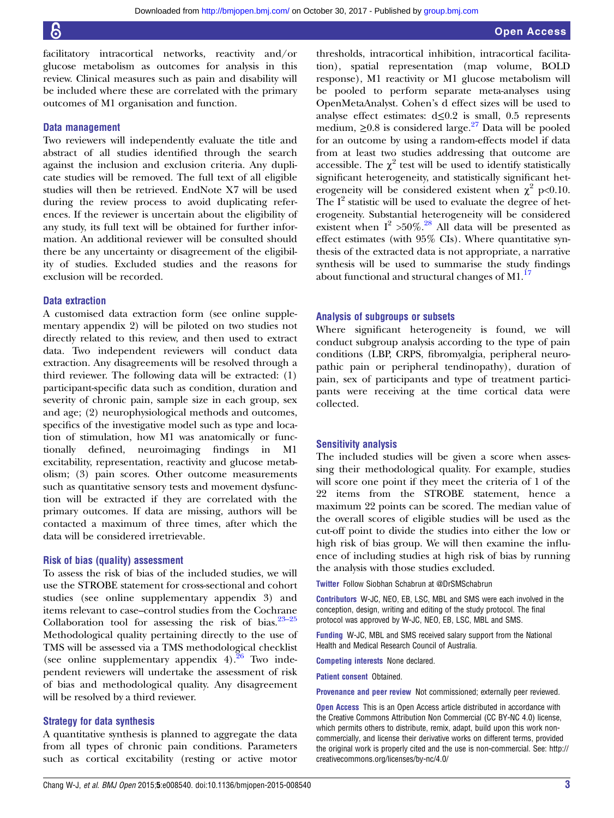facilitatory intracortical networks, reactivity and/or glucose metabolism as outcomes for analysis in this review. Clinical measures such as pain and disability will be included where these are correlated with the primary outcomes of M1 organisation and function.

#### Data management

Two reviewers will independently evaluate the title and abstract of all studies identified through the search against the inclusion and exclusion criteria. Any duplicate studies will be removed. The full text of all eligible studies will then be retrieved. EndNote X7 will be used during the review process to avoid duplicating references. If the reviewer is uncertain about the eligibility of any study, its full text will be obtained for further information. An additional reviewer will be consulted should there be any uncertainty or disagreement of the eligibility of studies. Excluded studies and the reasons for exclusion will be recorded.

#### Data extraction

A customised data extraction form (see online supplementary appendix 2) will be piloted on two studies not directly related to this review, and then used to extract data. Two independent reviewers will conduct data extraction. Any disagreements will be resolved through a third reviewer. The following data will be extracted: (1) participant-specific data such as condition, duration and severity of chronic pain, sample size in each group, sex and age; (2) neurophysiological methods and outcomes, specifics of the investigative model such as type and location of stimulation, how M1 was anatomically or functionally defined, neuroimaging findings in excitability, representation, reactivity and glucose metabolism; (3) pain scores. Other outcome measurements such as quantitative sensory tests and movement dysfunction will be extracted if they are correlated with the primary outcomes. If data are missing, authors will be contacted a maximum of three times, after which the data will be considered irretrievable.

#### Risk of bias (quality) assessment

To assess the risk of bias of the included studies, we will use the STROBE statement for cross-sectional and cohort studies (see online supplementary appendix 3) and items relevant to case–control studies from the Cochrane Collaboration tool for assessing the risk of bias. $23-25$  $23-25$ Methodological quality pertaining directly to the use of TMS will be assessed via a TMS methodological checklist (see online supplementary appendix  $4$ ).<sup>26</sup> Two independent reviewers will undertake the assessment of risk of bias and methodological quality. Any disagreement will be resolved by a third reviewer.

#### Strategy for data synthesis

A quantitative synthesis is planned to aggregate the data from all types of chronic pain conditions. Parameters such as cortical excitability (resting or active motor

thresholds, intracortical inhibition, intracortical facilitation), spatial representation (map volume, BOLD response), M1 reactivity or M1 glucose metabolism will be pooled to perform separate meta-analyses using OpenMetaAnalyst. Cohen's d effect sizes will be used to analyse effect estimates: d≤0.2 is small, 0.5 represents medium,  $\geq 0.8$  is considered large.<sup>[27](#page-3-0)</sup> Data will be pooled for an outcome by using a random-effects model if data from at least two studies addressing that outcome are accessible. The  $\chi^2$  test will be used to identify statistically significant heterogeneity, and statistically significant heterogeneity will be considered existent when  $\chi^2$  p<0.10. The  $I^2$  statistic will be used to evaluate the degree of heterogeneity. Substantial heterogeneity will be considered existent when  $I^2 > 50\%$ .<sup>[28](#page-3-0)</sup> All data will be presented as effect estimates (with 95% CIs). Where quantitative synthesis of the extracted data is not appropriate, a narrative synthesis will be used to summarise the study findings about functional and structural changes of  $M1<sup>17</sup>$  $M1<sup>17</sup>$  $M1<sup>17</sup>$ 

#### Analysis of subgroups or subsets

Where significant heterogeneity is found, we will conduct subgroup analysis according to the type of pain conditions (LBP, CRPS, fibromyalgia, peripheral neuropathic pain or peripheral tendinopathy), duration of pain, sex of participants and type of treatment participants were receiving at the time cortical data were collected.

#### Sensitivity analysis

The included studies will be given a score when assessing their methodological quality. For example, studies will score one point if they meet the criteria of 1 of the 22 items from the STROBE statement, hence a maximum 22 points can be scored. The median value of the overall scores of eligible studies will be used as the cut-off point to divide the studies into either the low or high risk of bias group. We will then examine the influence of including studies at high risk of bias by running the analysis with those studies excluded.

Twitter Follow Siobhan Schabrun at [@DrSMSchabrun](http://twitter.com/DrSMSchabrun)

Contributors W-JC, NEO, EB, LSC, MBL and SMS were each involved in the conception, design, writing and editing of the study protocol. The final protocol was approved by W-JC, NEO, EB, LSC, MBL and SMS.

Funding W-JC, MBL and SMS received salary support from the National Health and Medical Research Council of Australia.

Competing interests None declared.

Patient consent Obtained.

Provenance and peer review Not commissioned; externally peer reviewed.

Open Access This is an Open Access article distributed in accordance with the Creative Commons Attribution Non Commercial (CC BY-NC 4.0) license, which permits others to distribute, remix, adapt, build upon this work noncommercially, and license their derivative works on different terms, provided the original work is properly cited and the use is non-commercial. See: [http://](http://creativecommons.org/licenses/by-nc/4.0/) [creativecommons.org/licenses/by-nc/4.0/](http://creativecommons.org/licenses/by-nc/4.0/)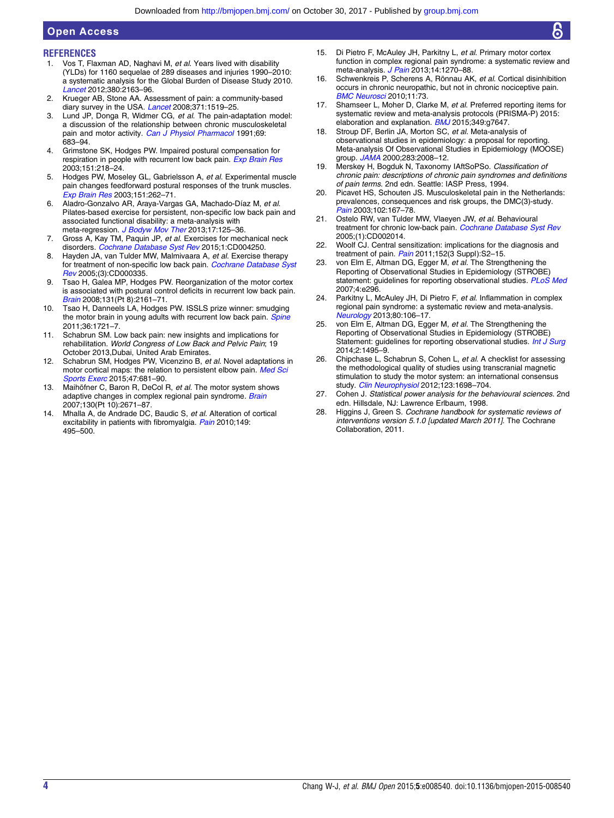### **REFERENCES**

<span id="page-3-0"></span>Open Access

- 1. Vos T. Flaxman AD. Naghavi M, et al. Years lived with disability (YLDs) for 1160 sequelae of 289 diseases and injuries 1990–2010: a systematic analysis for the Global Burden of Disease Study 2010. [Lancet](http://dx.doi.org/10.1016/S0140-6736(12)61729-2) 2012;380:2163–96.
- 2. Krueger AB, Stone AA. Assessment of pain: a community-based diary survey in the USA. [Lancet](http://dx.doi.org/10.1016/S0140-6736(08)60656-X) 2008;371:1519-25.
- 3. Lund JP, Donga R, Widmer CG, et al. The pain-adaptation model: a discussion of the relationship between chronic musculoskeletal pain and motor activity. [Can J Physiol Pharmacol](http://dx.doi.org/10.1139/y91-102) 1991;69: 683–94.
- 4. Grimstone SK, Hodges PW. Impaired postural compensation for respiration in people with recurrent low back pain. [Exp Brain Res](http://dx.doi.org/10.1007/s00221-003-1433-5) 2003;151:218–24.
- 5. Hodges PW, Moseley GL, Gabrielsson A, et al. Experimental muscle pain changes feedforward postural responses of the trunk muscles. [Exp Brain Res](http://dx.doi.org/10.1007/s00221-003-1457-x) 2003;151:262–71.
- 6. Aladro-Gonzalvo AR, Araya-Vargas GA, Machado-Díaz M, et al. Pilates-based exercise for persistent, non-specific low back pain and associated functional disability: a meta-analysis with meta-regression. [J Bodyw Mov Ther](http://dx.doi.org/10.1016/j.jbmt.2012.08.003) 2013;17:125-36.
- 7. Gross A, Kay TM, Paquin JP, et al. Exercises for mechanical neck disorders. [Cochrane Database Syst Rev](http://dx.doi.org/10.1002/14651858.CD004250.pub5) 2015;1:CD004250.
- 8. Hayden JA, van Tulder MW, Malmivaara A, et al. Exercise therapy for treatment of non-specific low back pain. [Cochrane Database Syst](http://dx.doi.org/10.1002/14651858.CD000335.pub2) [Rev](http://dx.doi.org/10.1002/14651858.CD000335.pub2) 2005;(3):CD000335.
- 9. Tsao H, Galea MP, Hodges PW. Reorganization of the motor cortex is associated with postural control deficits in recurrent low back pain. [Brain](http://dx.doi.org/10.1093/brain/awn154) 2008;131(Pt 8):2161–71.
- 10. Tsao H, Danneels LA, Hodges PW. ISSLS prize winner: smudging the motor brain in young adults with recurrent low back pain. [Spine](http://dx.doi.org/10.1097/BRS.0b013e31821c4267) 2011;36:1721–7.
- 11. Schabrun SM. Low back pain: new insights and implications for rehabilitation. World Congress of Low Back and Pelvic Pain; 19 October 2013,Dubai, United Arab Emirates.
- 12. Schabrun SM, Hodges PW, Vicenzino B, et al. Novel adaptations in motor cortical maps: the relation to persistent elbow pain. [Med Sci](http://dx.doi.org/10.1249/MSS.0000000000000469) [Sports Exerc](http://dx.doi.org/10.1249/MSS.0000000000000469) 2015;47:681-90.
- 13. Maihöfner C, Baron R, DeCol R, et al. The motor system shows adaptive changes in complex regional pain syndrome. [Brain](http://dx.doi.org/10.1093/brain/awm131) 2007;130(Pt 10):2671–87.
- 14. Mhalla A, de Andrade DC, Baudic S, et al. Alteration of cortical excitability in patients with fibromyalgia. [Pain](http://dx.doi.org/10.1016/j.pain.2010.03.009) 2010;149: 495–500.
- Di Pietro F, McAuley JH, Parkitny L, et al. Primary motor cortex function in complex regional pain syndrome: a systematic review and meta-analysis. [J Pain](http://dx.doi.org/10.1016/j.jpain.2013.07.004) 2013;14:1270-88.
- 16. Schwenkreis P, Scherens A, Rönnau AK, et al. Cortical disinhibition occurs in chronic neuropathic, but not in chronic nociceptive pain. [BMC Neurosci](http://dx.doi.org/10.1186/1471-2202-11-73) 2010;11:73.
- 17. Shamseer L, Moher D, Clarke M, et al. Preferred reporting items for systematic review and meta-analysis protocols (PRISMA-P) 2015: elaboration and explanation.  $BMJ$  2015;349:g7647.
- 18. Stroup DF, Berlin JA, Morton SC, et al. Meta-analysis of observational studies in epidemiology: a proposal for reporting. Meta-analysis Of Observational Studies in Epidemiology (MOOSE) group. [JAMA](http://dx.doi.org/10.1001/jama.283.15.2008) 2000;283:2008-12.
- 19. Merskey H, Bogduk N, Taxonomy IAftSoPSo. Classification of chronic pain: descriptions of chronic pain syndromes and definitions of pain terms. 2nd edn. Seattle: IASP Press, 1994.
- 20. Picavet HS, Schouten JS. Musculoskeletal pain in the Netherlands: prevalences, consequences and risk groups, the DMC(3)-study. [Pain](http://dx.doi.org/10.1016/s0304-3959(02)00372-x) 2003;102:167–78.
- 21. Ostelo RW, van Tulder MW, Vlaeyen JW, et al. Behavioural treatment for chronic low-back pain. [Cochrane Database Syst Rev](http://dx.doi.org/10.1002/14651858.CD002014.pub2) 2005;(1):CD002014.
- 22. Woolf CJ. Central sensitization: implications for the diagnosis and treatment of pain.  $Pain$  2011:152(3 Suppl):S2-15.
- 23. von Elm E, Altman DG, Egger M, et al. The Strengthening the Reporting of Observational Studies in Epidemiology (STROBE) statement: guidelines for reporting observational studies. [PLoS Med](http://dx.doi.org/10.1371/journal.pmed.0040296) 2007;4:e296.
- 24. Parkitny L, McAuley JH, Di Pietro F, et al. Inflammation in complex regional pain syndrome: a systematic review and meta-analysis. [Neurology](http://dx.doi.org/10.1212/WNL.0b013e31827b1aa1) 2013;80:106–17.
- 25. von Elm E, Altman DG, Egger M, et al. The Strengthening the Reporting of Observational Studies in Epidemiology (STROBE) Statement: guidelines for reporting observational studies. [Int J Surg](http://dx.doi.org/10.1016/j.ijsu.2014.07.013) 2014;2:1495–9.
- 26. Chipchase L, Schabrun S, Cohen L, et al. A checklist for assessing the methodological quality of studies using transcranial magnetic stimulation to study the motor system: an international consensus study. [Clin Neurophysiol](http://dx.doi.org/10.1016/j.clinph.2012.05.003) 2012;123:1698-704.
- 27. Cohen J. Statistical power analysis for the behavioural sciences. 2nd edn. Hillsdale, NJ: Lawrence Erlbaum, 1998.
- 28. Higgins J, Green S. Cochrane handbook for systematic reviews of interventions version 5.1.0 [updated March 2011]. The Cochrane Collaboration, 2011.